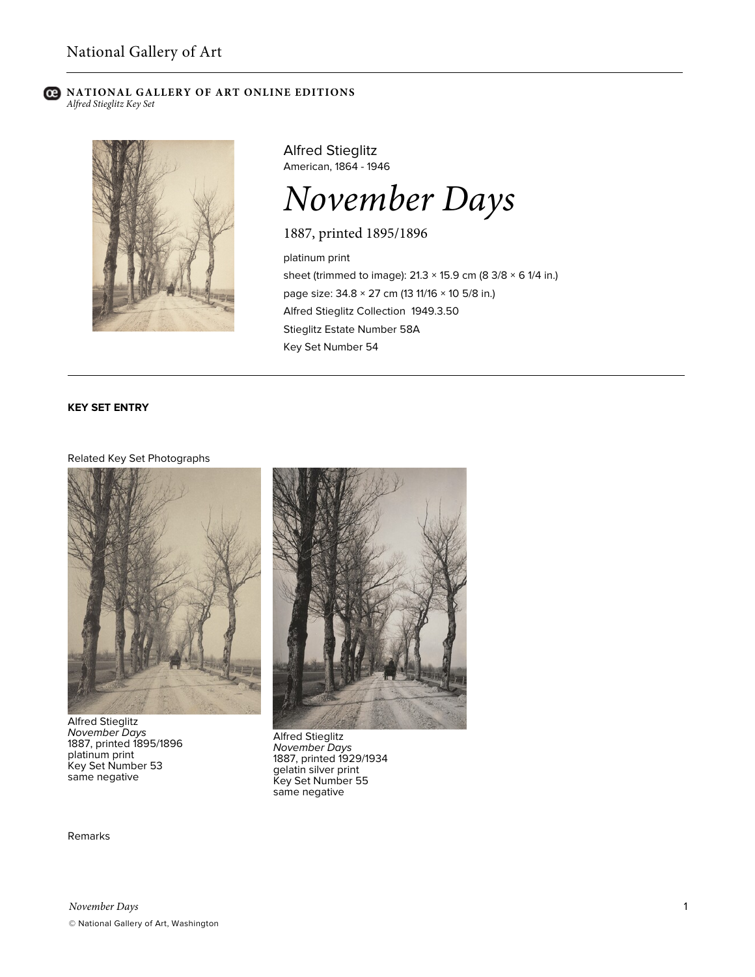#### **C** NATIONAL GALLERY OF ART ONLINE EDITIONS *Alfred Stieglitz Key Set*



Alfred Stieglitz American, 1864 - 1946

# *November Days*

1887, printed 1895/1896

platinum print sheet (trimmed to image):  $21.3 \times 15.9$  cm (8 3/8  $\times$  6 1/4 in.) page size: 34.8 × 27 cm (13 11/16 × 10 5/8 in.) Alfred Stieglitz Collection 1949.3.50 Stieglitz Estate Number 58A Key Set Number 54

## **KEY SET ENTRY**

#### Related Key Set Photographs



Alfred Stieglitz *November Days* 1887, printed 1895/1896 platinum print Key Set Number 53 same negative



Alfred Stieglitz *November Days* 1887, printed 1929/1934 gelatin silver print Key Set Number 55 same negative

Remarks